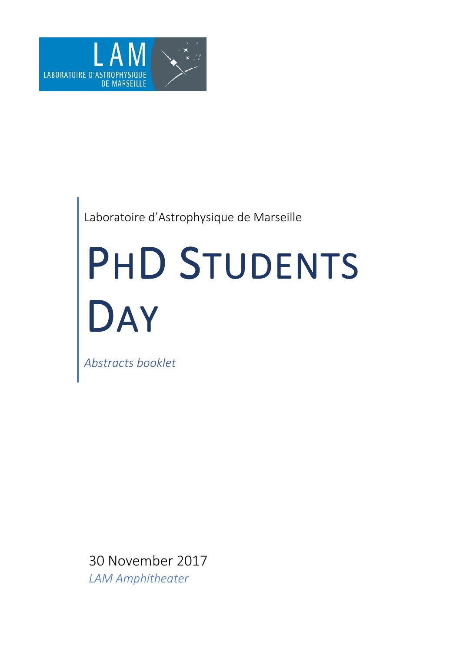

# Laboratoire d'Astrophysique de Marseille

# PHD STUDENTS DAY

*Abstracts booklet*

30 November 2017 *LAM Amphitheater*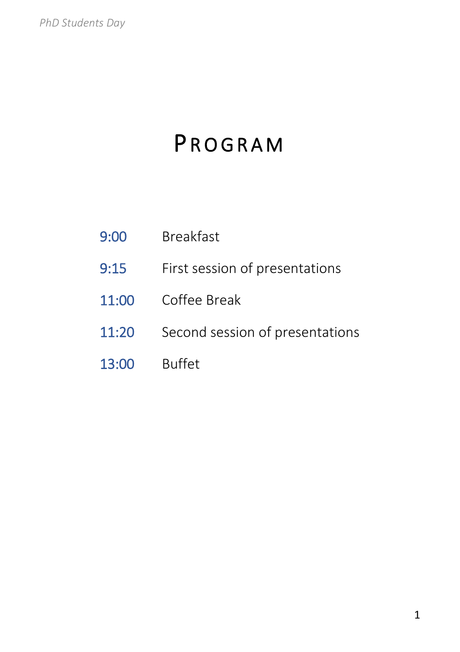# **PROGRAM**

- 9:00 Breakfast
- 9:15 First session of presentations
- 11:00 Coffee Break
- 11:20 Second session of presentations
- 13:00 Buffet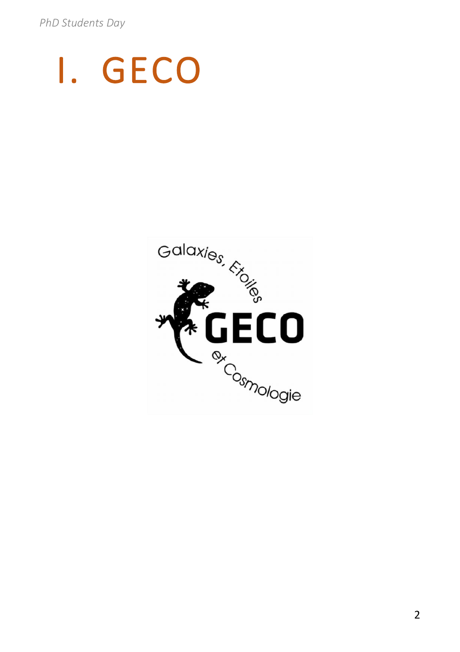# I. GECO

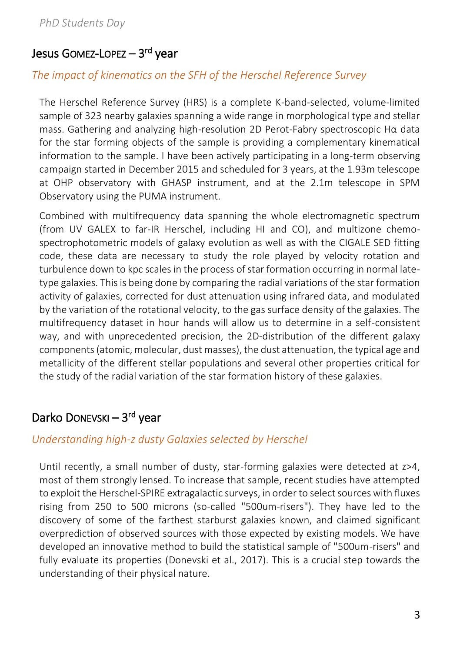# Jesus Gomez-Lopez — 3<sup>rd</sup> year

### *The impact of kinematics on the SFH of the Herschel Reference Survey*

The Herschel Reference Survey (HRS) is a complete K-band-selected, volume-limited sample of 323 nearby galaxies spanning a wide range in morphological type and stellar mass. Gathering and analyzing high-resolution 2D Perot-Fabry spectroscopic Hα data for the star forming objects of the sample is providing a complementary kinematical information to the sample. I have been actively participating in a long-term observing campaign started in December 2015 and scheduled for 3 years, at the 1.93m telescope at OHP observatory with GHASP instrument, and at the 2.1m telescope in SPM Observatory using the PUMA instrument.

Combined with multifrequency data spanning the whole electromagnetic spectrum (from UV GALEX to far-IR Herschel, including HI and CO), and multizone chemospectrophotometric models of galaxy evolution as well as with the CIGALE SED fitting code, these data are necessary to study the role played by velocity rotation and turbulence down to kpc scales in the process of star formation occurring in normal latetype galaxies. This is being done by comparing the radial variations of the star formation activity of galaxies, corrected for dust attenuation using infrared data, and modulated by the variation of the rotational velocity, to the gas surface density of the galaxies. The multifrequency dataset in hour hands will allow us to determine in a self-consistent way, and with unprecedented precision, the 2D-distribution of the different galaxy components (atomic, molecular, dust masses), the dust attenuation, the typical age and metallicity of the different stellar populations and several other properties critical for the study of the radial variation of the star formation history of these galaxies.

# Darko Donevski – 3rd year

### *Understanding high-z dusty Galaxies selected by Herschel*

Until recently, a small number of dusty, star-forming galaxies were detected at z>4, most of them strongly lensed. To increase that sample, recent studies have attempted to exploit the Herschel-SPIRE extragalactic surveys, in order to select sources with fluxes rising from 250 to 500 microns (so-called "500um-risers"). They have led to the discovery of some of the farthest starburst galaxies known, and claimed significant overprediction of observed sources with those expected by existing models. We have developed an innovative method to build the statistical sample of "500um-risers" and fully evaluate its properties (Donevski et al., 2017). This is a crucial step towards the understanding of their physical nature.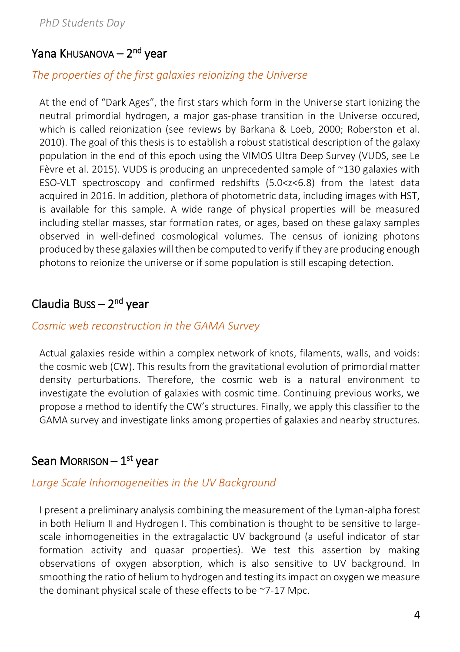### Yana Khusanova — 2<sup>nd</sup> year

#### *The properties of the first galaxies reionizing the Universe*

At the end of "Dark Ages", the first stars which form in the Universe start ionizing the neutral primordial hydrogen, a major gas‐phase transition in the Universe occured, which is called reionization (see reviews by Barkana & Loeb, 2000; Roberston et al. 2010). The goal of this thesis is to establish a robust statistical description of the galaxy population in the end of this epoch using the VIMOS Ultra Deep Survey (VUDS, see Le Fèvre et al. 2015). VUDS is producing an unprecedented sample of ~130 galaxies with ESO‐VLT spectroscopy and confirmed redshifts (5.0<z<6.8) from the latest data acquired in 2016. In addition, plethora of photometric data, including images with HST, is available for this sample. A wide range of physical properties will be measured including stellar masses, star formation rates, or ages, based on these galaxy samples observed in well‐defined cosmological volumes. The census of ionizing photons produced by these galaxies will then be computed to verify if they are producing enough photons to reionize the universe or if some population is still escaping detection.

### Claudia Buss – 2<sup>nd</sup> year

#### *Cosmic web reconstruction in the GAMA Survey*

Actual galaxies reside within a complex network of knots, filaments, walls, and voids: the cosmic web (CW). This results from the gravitational evolution of primordial matter density perturbations. Therefore, the cosmic web is a natural environment to investigate the evolution of galaxies with cosmic time. Continuing previous works, we propose a method to identify the CW's structures. Finally, we apply this classifier to the GAMA survey and investigate links among properties of galaxies and nearby structures.

### Sean Morrison — 1<sup>st</sup> year

#### *Large Scale Inhomogeneities in the UV Background*

I present a preliminary analysis combining the measurement of the Lyman-alpha forest in both Helium II and Hydrogen I. This combination is thought to be sensitive to largescale inhomogeneities in the extragalactic UV background (a useful indicator of star formation activity and quasar properties). We test this assertion by making observations of oxygen absorption, which is also sensitive to UV background. In smoothing the ratio of helium to hydrogen and testing its impact on oxygen we measure the dominant physical scale of these effects to be ~7-17 Mpc.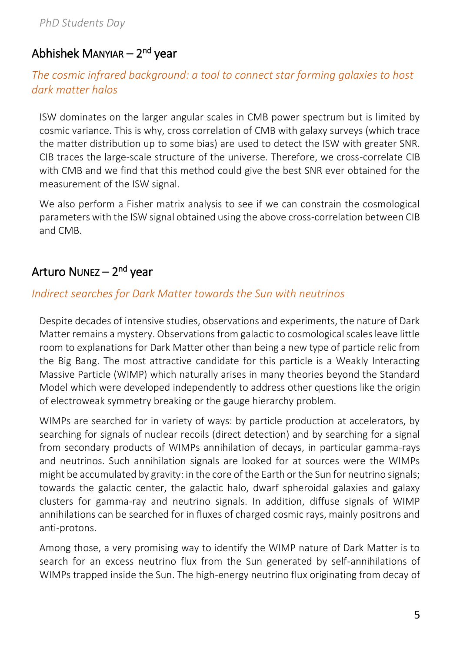# Abhishek Manyıar — 2<sup>nd</sup> year

### *The cosmic infrared background: a tool to connect star forming galaxies to host dark matter halos*

ISW dominates on the larger angular scales in CMB power spectrum but is limited by cosmic variance. This is why, cross correlation of CMB with galaxy surveys (which trace the matter distribution up to some bias) are used to detect the ISW with greater SNR. CIB traces the large-scale structure of the universe. Therefore, we cross-correlate CIB with CMB and we find that this method could give the best SNR ever obtained for the measurement of the ISW signal.

We also perform a Fisher matrix analysis to see if we can constrain the cosmological parameters with the ISW signal obtained using the above cross-correlation between CIB and CMB.

# Arturo Nunez – 2<sup>nd</sup> year

### *Indirect searches for Dark Matter towards the Sun with neutrinos*

Despite decades of intensive studies, observations and experiments, the nature of Dark Matter remains a mystery. Observations from galactic to cosmological scales leave little room to explanations for Dark Matter other than being a new type of particle relic from the Big Bang. The most attractive candidate for this particle is a Weakly Interacting Massive Particle (WIMP) which naturally arises in many theories beyond the Standard Model which were developed independently to address other questions like the origin of electroweak symmetry breaking or the gauge hierarchy problem.

WIMPs are searched for in variety of ways: by particle production at accelerators, by searching for signals of nuclear recoils (direct detection) and by searching for a signal from secondary products of WIMPs annihilation of decays, in particular gamma-rays and neutrinos. Such annihilation signals are looked for at sources were the WIMPs might be accumulated by gravity: in the core of the Earth or the Sun for neutrino signals; towards the galactic center, the galactic halo, dwarf spheroidal galaxies and galaxy clusters for gamma-ray and neutrino signals. In addition, diffuse signals of WIMP annihilations can be searched for in fluxes of charged cosmic rays, mainly positrons and anti-protons.

Among those, a very promising way to identify the WIMP nature of Dark Matter is to search for an excess neutrino flux from the Sun generated by self-annihilations of WIMPs trapped inside the Sun. The high-energy neutrino flux originating from decay of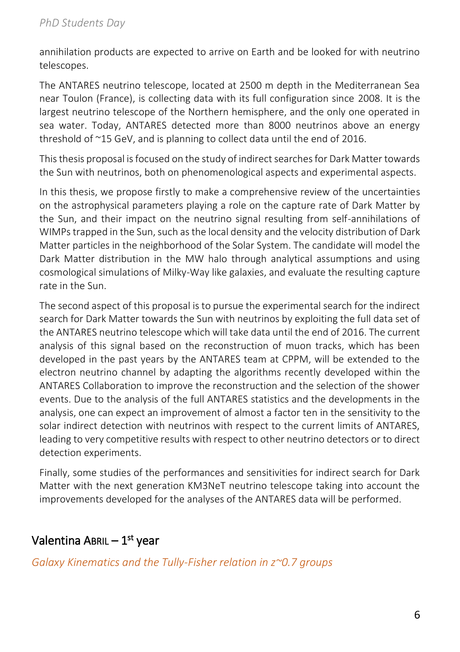annihilation products are expected to arrive on Earth and be looked for with neutrino telescopes.

The ANTARES neutrino telescope, located at 2500 m depth in the Mediterranean Sea near Toulon (France), is collecting data with its full configuration since 2008. It is the largest neutrino telescope of the Northern hemisphere, and the only one operated in sea water. Today, ANTARES detected more than 8000 neutrinos above an energy threshold of ~15 GeV, and is planning to collect data until the end of 2016.

This thesis proposal is focused on the study of indirect searches for Dark Matter towards the Sun with neutrinos, both on phenomenological aspects and experimental aspects.

In this thesis, we propose firstly to make a comprehensive review of the uncertainties on the astrophysical parameters playing a role on the capture rate of Dark Matter by the Sun, and their impact on the neutrino signal resulting from self-annihilations of WIMPs trapped in the Sun, such as the local density and the velocity distribution of Dark Matter particles in the neighborhood of the Solar System. The candidate will model the Dark Matter distribution in the MW halo through analytical assumptions and using cosmological simulations of Milky-Way like galaxies, and evaluate the resulting capture rate in the Sun.

The second aspect of this proposal is to pursue the experimental search for the indirect search for Dark Matter towards the Sun with neutrinos by exploiting the full data set of the ANTARES neutrino telescope which will take data until the end of 2016. The current analysis of this signal based on the reconstruction of muon tracks, which has been developed in the past years by the ANTARES team at CPPM, will be extended to the electron neutrino channel by adapting the algorithms recently developed within the ANTARES Collaboration to improve the reconstruction and the selection of the shower events. Due to the analysis of the full ANTARES statistics and the developments in the analysis, one can expect an improvement of almost a factor ten in the sensitivity to the solar indirect detection with neutrinos with respect to the current limits of ANTARES, leading to very competitive results with respect to other neutrino detectors or to direct detection experiments.

Finally, some studies of the performances and sensitivities for indirect search for Dark Matter with the next generation KM3NeT neutrino telescope taking into account the improvements developed for the analyses of the ANTARES data will be performed.

# Valentina ABRIL – 1<sup>st</sup> year

### *Galaxy Kinematics and the Tully-Fisher relation in z~0.7 groups*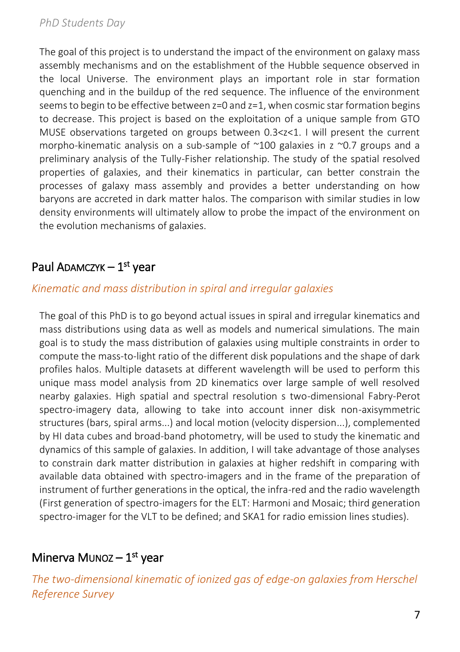The goal of this project is to understand the impact of the environment on galaxy mass assembly mechanisms and on the establishment of the Hubble sequence observed in the local Universe. The environment plays an important role in star formation quenching and in the buildup of the red sequence. The influence of the environment seems to begin to be effective between  $z=0$  and  $z=1$ , when cosmic star formation begins to decrease. This project is based on the exploitation of a unique sample from GTO MUSE observations targeted on groups between 0.3<z<1. I will present the current morpho-kinematic analysis on a sub-sample of  $\sim$ 100 galaxies in z  $\sim$ 0.7 groups and a preliminary analysis of the Tully-Fisher relationship. The study of the spatial resolved properties of galaxies, and their kinematics in particular, can better constrain the processes of galaxy mass assembly and provides a better understanding on how baryons are accreted in dark matter halos. The comparison with similar studies in low density environments will ultimately allow to probe the impact of the environment on the evolution mechanisms of galaxies.

# Paul ADAMCZYK – 1<sup>st</sup> year

### *Kinematic and mass distribution in spiral and irregular galaxies*

The goal of this PhD is to go beyond actual issues in spiral and irregular kinematics and mass distributions using data as well as models and numerical simulations. The main goal is to study the mass distribution of galaxies using multiple constraints in order to compute the mass-to-light ratio of the different disk populations and the shape of dark profiles halos. Multiple datasets at different wavelength will be used to perform this unique mass model analysis from 2D kinematics over large sample of well resolved nearby galaxies. High spatial and spectral resolution s two-dimensional Fabry-Perot spectro-imagery data, allowing to take into account inner disk non-axisymmetric structures (bars, spiral arms...) and local motion (velocity dispersion...), complemented by HI data cubes and broad-band photometry, will be used to study the kinematic and dynamics of this sample of galaxies. In addition, I will take advantage of those analyses to constrain dark matter distribution in galaxies at higher redshift in comparing with available data obtained with spectro-imagers and in the frame of the preparation of instrument of further generations in the optical, the infra-red and the radio wavelength (First generation of spectro-imagers for the ELT: Harmoni and Mosaic; third generation spectro-imager for the VLT to be defined; and SKA1 for radio emission lines studies).

# Minerva Munoz – 1<sup>st</sup> year

*The two-dimensional kinematic of ionized gas of edge-on galaxies from Herschel Reference Survey*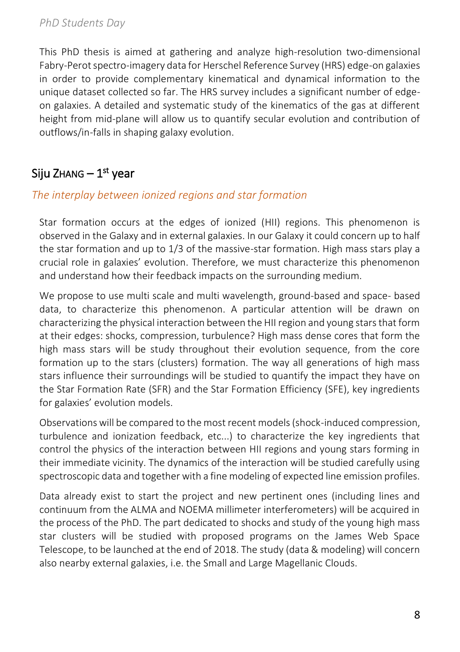This PhD thesis is aimed at gathering and analyze high-resolution two-dimensional Fabry-Perot spectro-imagery data for Herschel Reference Survey (HRS) edge-on galaxies in order to provide complementary kinematical and dynamical information to the unique dataset collected so far. The HRS survey includes a significant number of edgeon galaxies. A detailed and systematic study of the kinematics of the gas at different height from mid-plane will allow us to quantify secular evolution and contribution of outflows/in-falls in shaping galaxy evolution.

# Siju Zнаng — 1<sup>st</sup> year

### *The interplay between ionized regions and star formation*

Star formation occurs at the edges of ionized (HII) regions. This phenomenon is observed in the Galaxy and in external galaxies. In our Galaxy it could concern up to half the star formation and up to 1/3 of the massive-star formation. High mass stars play a crucial role in galaxies' evolution. Therefore, we must characterize this phenomenon and understand how their feedback impacts on the surrounding medium.

We propose to use multi scale and multi wavelength, ground-based and space- based data, to characterize this phenomenon. A particular attention will be drawn on characterizing the physical interaction between the HII region and young stars that form at their edges: shocks, compression, turbulence? High mass dense cores that form the high mass stars will be study throughout their evolution sequence, from the core formation up to the stars (clusters) formation. The way all generations of high mass stars influence their surroundings will be studied to quantify the impact they have on the Star Formation Rate (SFR) and the Star Formation Efficiency (SFE), key ingredients for galaxies' evolution models.

Observations will be compared to the most recent models (shock-induced compression, turbulence and ionization feedback, etc...) to characterize the key ingredients that control the physics of the interaction between HII regions and young stars forming in their immediate vicinity. The dynamics of the interaction will be studied carefully using spectroscopic data and together with a fine modeling of expected line emission profiles.

Data already exist to start the project and new pertinent ones (including lines and continuum from the ALMA and NOEMA millimeter interferometers) will be acquired in the process of the PhD. The part dedicated to shocks and study of the young high mass star clusters will be studied with proposed programs on the James Web Space Telescope, to be launched at the end of 2018. The study (data & modeling) will concern also nearby external galaxies, i.e. the Small and Large Magellanic Clouds.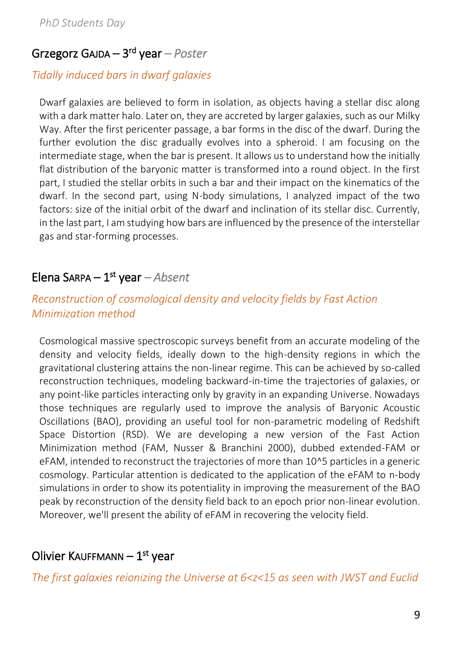### Grzegorz GAJDA – 3 rd year *– Poster*

### *Tidally induced bars in dwarf galaxies*

Dwarf galaxies are believed to form in isolation, as objects having a stellar disc along with a dark matter halo. Later on, they are accreted by larger galaxies, such as our Milky Way. After the first pericenter passage, a bar forms in the disc of the dwarf. During the further evolution the disc gradually evolves into a spheroid. I am focusing on the intermediate stage, when the bar is present. It allows us to understand how the initially flat distribution of the baryonic matter is transformed into a round object. In the first part, I studied the stellar orbits in such a bar and their impact on the kinematics of the dwarf. In the second part, using N-body simulations, I analyzed impact of the two factors: size of the initial orbit of the dwarf and inclination of its stellar disc. Currently, in the last part, I am studying how bars are influenced by the presence of the interstellar gas and star-forming processes.

### Elena Sarpa – 1<sup>st</sup> year – Absent

### *Reconstruction of cosmological density and velocity fields by Fast Action Minimization method*

Cosmological massive spectroscopic surveys benefit from an accurate modeling of the density and velocity fields, ideally down to the high-density regions in which the gravitational clustering attains the non-linear regime. This can be achieved by so-called reconstruction techniques, modeling backward-in-time the trajectories of galaxies, or any point-like particles interacting only by gravity in an expanding Universe. Nowadays those techniques are regularly used to improve the analysis of Baryonic Acoustic Oscillations (BAO), providing an useful tool for non-parametric modeling of Redshift Space Distortion (RSD). We are developing a new version of the Fast Action Minimization method (FAM, Nusser & Branchini 2000), dubbed extended-FAM or eFAM, intended to reconstruct the trajectories of more than 10^5 particles in a generic cosmology. Particular attention is dedicated to the application of the eFAM to n-body simulations in order to show its potentiality in improving the measurement of the BAO peak by reconstruction of the density field back to an epoch prior non-linear evolution. Moreover, we'll present the ability of eFAM in recovering the velocity field.

### Olivier KauffMann — 1<sup>st</sup> year

*The first galaxies reionizing the Universe at 6<z<15 as seen with JWST and Euclid*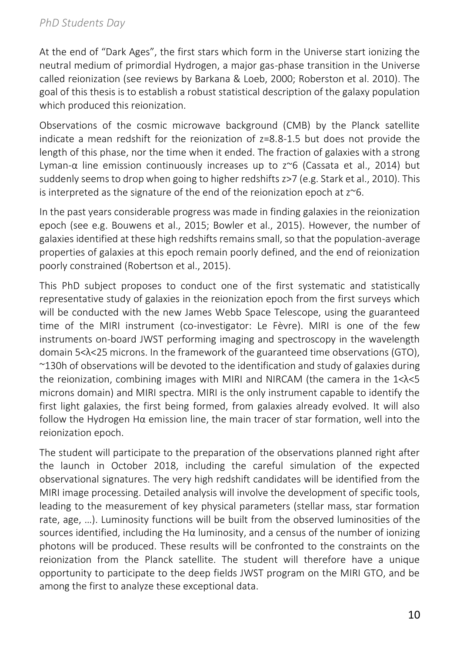At the end of "Dark Ages", the first stars which form in the Universe start ionizing the neutral medium of primordial Hydrogen, a major gas-phase transition in the Universe called reionization (see reviews by Barkana & Loeb, 2000; Roberston et al. 2010). The goal of this thesis is to establish a robust statistical description of the galaxy population which produced this reionization.

Observations of the cosmic microwave background (CMB) by the Planck satellite indicate a mean redshift for the reionization of z=8.8-1.5 but does not provide the length of this phase, nor the time when it ended. The fraction of galaxies with a strong Lyman-α line emission continuously increases up to z~6 (Cassata et al., 2014) but suddenly seems to drop when going to higher redshifts z>7 (e.g. Stark et al., 2010). This is interpreted as the signature of the end of the reionization epoch at  $z^{\sim}6$ .

In the past years considerable progress was made in finding galaxies in the reionization epoch (see e.g. Bouwens et al., 2015; Bowler et al., 2015). However, the number of galaxies identified at these high redshifts remains small, so that the population-average properties of galaxies at this epoch remain poorly defined, and the end of reionization poorly constrained (Robertson et al., 2015).

This PhD subject proposes to conduct one of the first systematic and statistically representative study of galaxies in the reionization epoch from the first surveys which will be conducted with the new James Webb Space Telescope, using the guaranteed time of the MIRI instrument (co-investigator: Le Fèvre). MIRI is one of the few instruments on-board JWST performing imaging and spectroscopy in the wavelength domain 5<λ<25 microns. In the framework of the guaranteed time observations (GTO), ~130h of observations will be devoted to the identification and study of galaxies during the reionization, combining images with MIRI and NIRCAM (the camera in the 1<λ<5 microns domain) and MIRI spectra. MIRI is the only instrument capable to identify the first light galaxies, the first being formed, from galaxies already evolved. It will also follow the Hydrogen Hα emission line, the main tracer of star formation, well into the reionization epoch.

The student will participate to the preparation of the observations planned right after the launch in October 2018, including the careful simulation of the expected observational signatures. The very high redshift candidates will be identified from the MIRI image processing. Detailed analysis will involve the development of specific tools, leading to the measurement of key physical parameters (stellar mass, star formation rate, age, …). Luminosity functions will be built from the observed luminosities of the sources identified, including the H $\alpha$  luminosity, and a census of the number of ionizing photons will be produced. These results will be confronted to the constraints on the reionization from the Planck satellite. The student will therefore have a unique opportunity to participate to the deep fields JWST program on the MIRI GTO, and be among the first to analyze these exceptional data.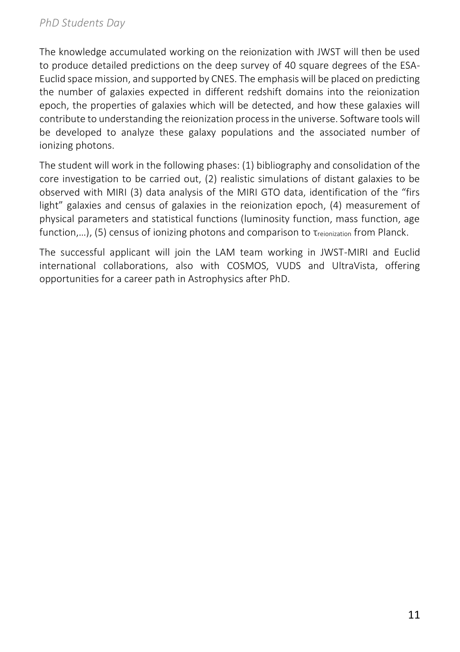The knowledge accumulated working on the reionization with JWST will then be used to produce detailed predictions on the deep survey of 40 square degrees of the ESA-Euclid space mission, and supported by CNES. The emphasis will be placed on predicting the number of galaxies expected in different redshift domains into the reionization epoch, the properties of galaxies which will be detected, and how these galaxies will contribute to understanding the reionization process in the universe. Software tools will be developed to analyze these galaxy populations and the associated number of ionizing photons.

The student will work in the following phases: (1) bibliography and consolidation of the core investigation to be carried out, (2) realistic simulations of distant galaxies to be observed with MIRI (3) data analysis of the MIRI GTO data, identification of the "firs light" galaxies and census of galaxies in the reionization epoch, (4) measurement of physical parameters and statistical functions (luminosity function, mass function, age function,...), (5) census of ionizing photons and comparison to  $\tau_{reionization}$  from Planck.

The successful applicant will join the LAM team working in JWST-MIRI and Euclid international collaborations, also with COSMOS, VUDS and UltraVista, offering opportunities for a career path in Astrophysics after PhD.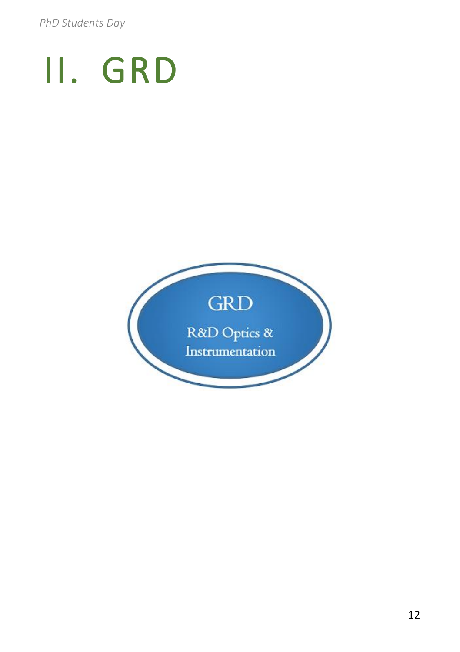# II. GRD

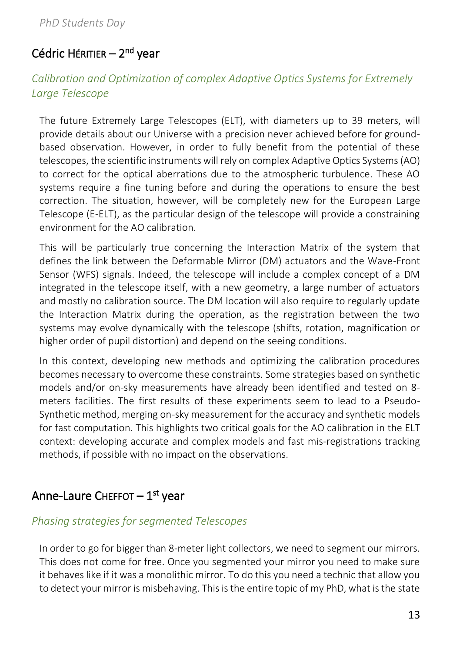# Cédric Héritier – 2<sup>nd</sup> year

### *Calibration and Optimization of complex Adaptive Optics Systems for Extremely Large Telescope*

The future Extremely Large Telescopes (ELT), with diameters up to 39 meters, will provide details about our Universe with a precision never achieved before for groundbased observation. However, in order to fully benefit from the potential of these telescopes, the scientific instruments will rely on complex Adaptive Optics Systems (AO) to correct for the optical aberrations due to the atmospheric turbulence. These AO systems require a fine tuning before and during the operations to ensure the best correction. The situation, however, will be completely new for the European Large Telescope (E-ELT), as the particular design of the telescope will provide a constraining environment for the AO calibration.

This will be particularly true concerning the Interaction Matrix of the system that defines the link between the Deformable Mirror (DM) actuators and the Wave-Front Sensor (WFS) signals. Indeed, the telescope will include a complex concept of a DM integrated in the telescope itself, with a new geometry, a large number of actuators and mostly no calibration source. The DM location will also require to regularly update the Interaction Matrix during the operation, as the registration between the two systems may evolve dynamically with the telescope (shifts, rotation, magnification or higher order of pupil distortion) and depend on the seeing conditions.

In this context, developing new methods and optimizing the calibration procedures becomes necessary to overcome these constraints. Some strategies based on synthetic models and/or on-sky measurements have already been identified and tested on 8 meters facilities. The first results of these experiments seem to lead to a Pseudo-Synthetic method, merging on-sky measurement for the accuracy and synthetic models for fast computation. This highlights two critical goals for the AO calibration in the ELT context: developing accurate and complex models and fast mis-registrations tracking methods, if possible with no impact on the observations.

### Anne-Laure ChEFFOT — 1<sup>st</sup> year

### *Phasing strategies for segmented Telescopes*

In order to go for bigger than 8-meter light collectors, we need to segment our mirrors. This does not come for free. Once you segmented your mirror you need to make sure it behaves like if it was a monolithic mirror. To do this you need a technic that allow you to detect your mirror is misbehaving. This is the entire topic of my PhD, what is the state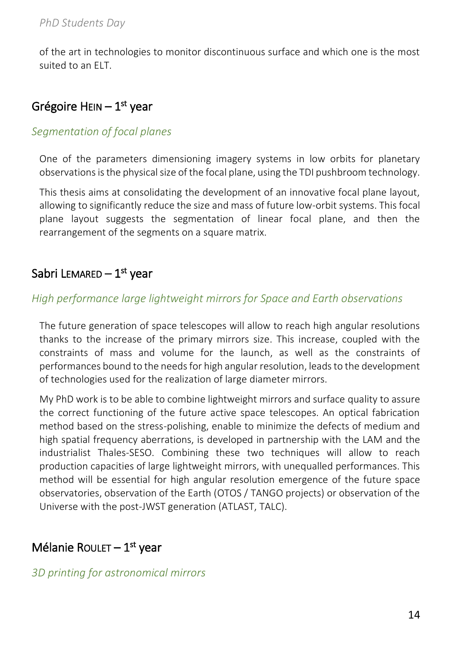of the art in technologies to monitor discontinuous surface and which one is the most suited to an ELT.

# Grégoire HEIN — 1<sup>st</sup> year

### *Segmentation of focal planes*

One of the parameters dimensioning imagery systems in low orbits for planetary observations is the physical size of the focal plane, using the TDI pushbroom technology.

This thesis aims at consolidating the development of an innovative focal plane layout, allowing to significantly reduce the size and mass of future low-orbit systems. This focal plane layout suggests the segmentation of linear focal plane, and then the rearrangement of the segments on a square matrix.

# Sabri L $\epsilon$ mar $\epsilon$ D — 1 $^{\rm st}$  year

### *High performance large lightweight mirrors for Space and Earth observations*

The future generation of space telescopes will allow to reach high angular resolutions thanks to the increase of the primary mirrors size. This increase, coupled with the constraints of mass and volume for the launch, as well as the constraints of performances bound to the needs for high angular resolution, leads to the development of technologies used for the realization of large diameter mirrors.

My PhD work is to be able to combine lightweight mirrors and surface quality to assure the correct functioning of the future active space telescopes. An optical fabrication method based on the stress-polishing, enable to minimize the defects of medium and high spatial frequency aberrations, is developed in partnership with the LAM and the industrialist Thales-SESO. Combining these two techniques will allow to reach production capacities of large lightweight mirrors, with unequalled performances. This method will be essential for high angular resolution emergence of the future space observatories, observation of the Earth (OTOS / TANGO projects) or observation of the Universe with the post-JWST generation (ATLAST, TALC).

# Mélanie ROULET – 1<sup>st</sup> year

### *3D printing for astronomical mirrors*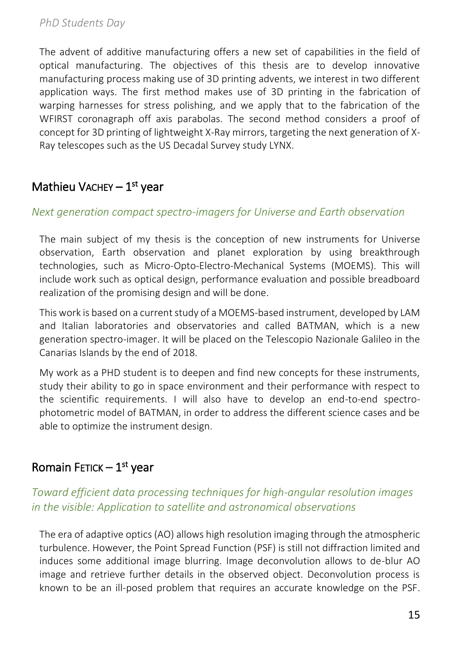The advent of additive manufacturing offers a new set of capabilities in the field of optical manufacturing. The objectives of this thesis are to develop innovative manufacturing process making use of 3D printing advents, we interest in two different application ways. The first method makes use of 3D printing in the fabrication of warping harnesses for stress polishing, and we apply that to the fabrication of the WFIRST coronagraph off axis parabolas. The second method considers a proof of concept for 3D printing of lightweight X-Ray mirrors, targeting the next generation of X-Ray telescopes such as the US Decadal Survey study LYNX.

# Mathieu VACHEY – 1<sup>st</sup> year

### *Next generation compact spectro-imagers for Universe and Earth observation*

The main subject of my thesis is the conception of new instruments for Universe observation, Earth observation and planet exploration by using breakthrough technologies, such as Micro-Opto-Electro-Mechanical Systems (MOEMS). This will include work such as optical design, performance evaluation and possible breadboard realization of the promising design and will be done.

This work is based on a current study of a MOEMS-based instrument, developed by LAM and Italian laboratories and observatories and called BATMAN, which is a new generation spectro-imager. It will be placed on the Telescopio Nazionale Galileo in the Canarias Islands by the end of 2018.

My work as a PHD student is to deepen and find new concepts for these instruments, study their ability to go in space environment and their performance with respect to the scientific requirements. I will also have to develop an end-to-end spectrophotometric model of BATMAN, in order to address the different science cases and be able to optimize the instrument design.

### Romain FETICK – 1<sup>st</sup> year

### *Toward efficient data processing techniques for high-angular resolution images in the visible: Application to satellite and astronomical observations*

The era of adaptive optics (AO) allows high resolution imaging through the atmospheric turbulence. However, the Point Spread Function (PSF) is still not diffraction limited and induces some additional image blurring. Image deconvolution allows to de-blur AO image and retrieve further details in the observed object. Deconvolution process is known to be an ill-posed problem that requires an accurate knowledge on the PSF.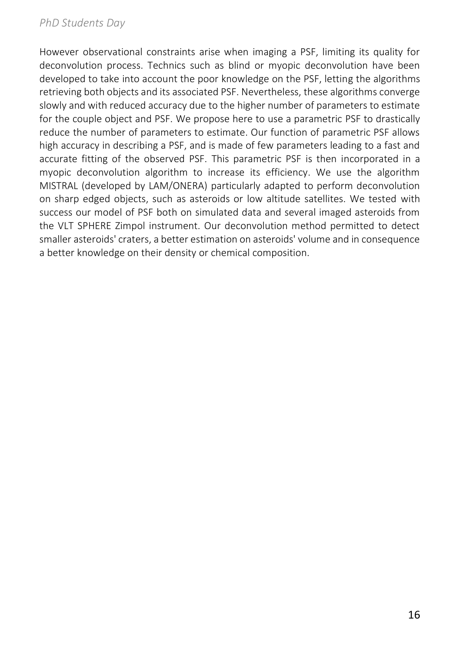However observational constraints arise when imaging a PSF, limiting its quality for deconvolution process. Technics such as blind or myopic deconvolution have been developed to take into account the poor knowledge on the PSF, letting the algorithms retrieving both objects and its associated PSF. Nevertheless, these algorithms converge slowly and with reduced accuracy due to the higher number of parameters to estimate for the couple object and PSF. We propose here to use a parametric PSF to drastically reduce the number of parameters to estimate. Our function of parametric PSF allows high accuracy in describing a PSF, and is made of few parameters leading to a fast and accurate fitting of the observed PSF. This parametric PSF is then incorporated in a myopic deconvolution algorithm to increase its efficiency. We use the algorithm MISTRAL (developed by LAM/ONERA) particularly adapted to perform deconvolution on sharp edged objects, such as asteroids or low altitude satellites. We tested with success our model of PSF both on simulated data and several imaged asteroids from the VLT SPHERE Zimpol instrument. Our deconvolution method permitted to detect smaller asteroids' craters, a better estimation on asteroids' volume and in consequence a better knowledge on their density or chemical composition.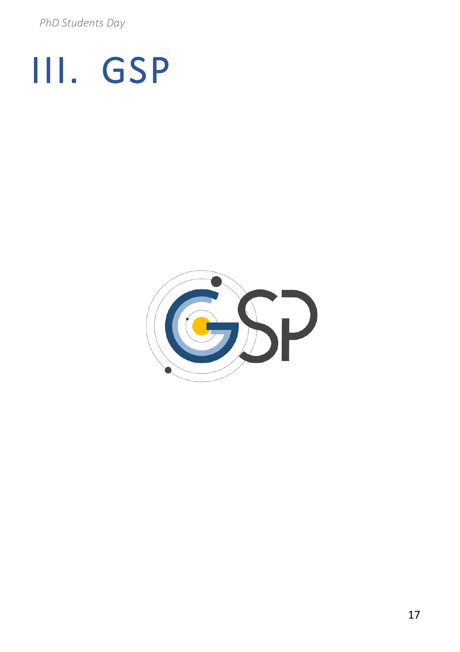# III. GSP

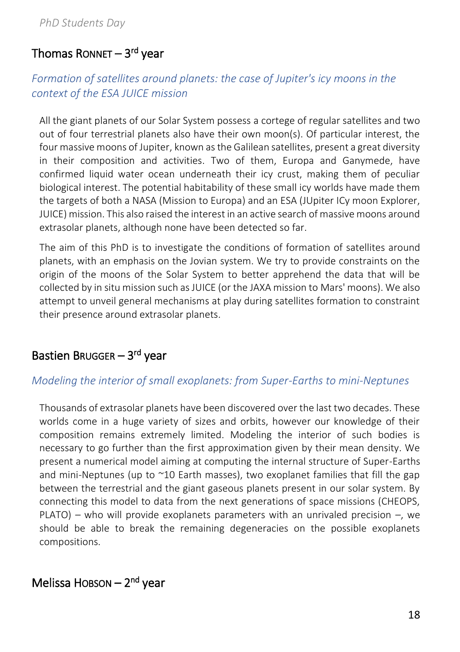# Thomas Ronnet — 3<sup>rd</sup> year

### *Formation of satellites around planets: the case of Jupiter's icy moons in the context of the ESA JUICE mission*

All the giant planets of our Solar System possess a cortege of regular satellites and two out of four terrestrial planets also have their own moon(s). Of particular interest, the four massive moons of Jupiter, known as the Galilean satellites, present a great diversity in their composition and activities. Two of them, Europa and Ganymede, have confirmed liquid water ocean underneath their icy crust, making them of peculiar biological interest. The potential habitability of these small icy worlds have made them the targets of both a NASA (Mission to Europa) and an ESA (JUpiter ICy moon Explorer, JUICE) mission. This also raised the interest in an active search of massive moons around extrasolar planets, although none have been detected so far.

The aim of this PhD is to investigate the conditions of formation of satellites around planets, with an emphasis on the Jovian system. We try to provide constraints on the origin of the moons of the Solar System to better apprehend the data that will be collected by in situ mission such as JUICE (or the JAXA mission to Mars' moons). We also attempt to unveil general mechanisms at play during satellites formation to constraint their presence around extrasolar planets.

### Bastien Brugger – 3rd year

### *Modeling the interior of small exoplanets: from Super-Earths to mini-Neptunes*

Thousands of extrasolar planets have been discovered over the last two decades. These worlds come in a huge variety of sizes and orbits, however our knowledge of their composition remains extremely limited. Modeling the interior of such bodies is necessary to go further than the first approximation given by their mean density. We present a numerical model aiming at computing the internal structure of Super-Earths and mini-Neptunes (up to  $\sim$ 10 Earth masses), two exoplanet families that fill the gap between the terrestrial and the giant gaseous planets present in our solar system. By connecting this model to data from the next generations of space missions (CHEOPS, PLATO) – who will provide exoplanets parameters with an unrivaled precision –, we should be able to break the remaining degeneracies on the possible exoplanets compositions.

### Melissa HOBSON – 2<sup>nd</sup> year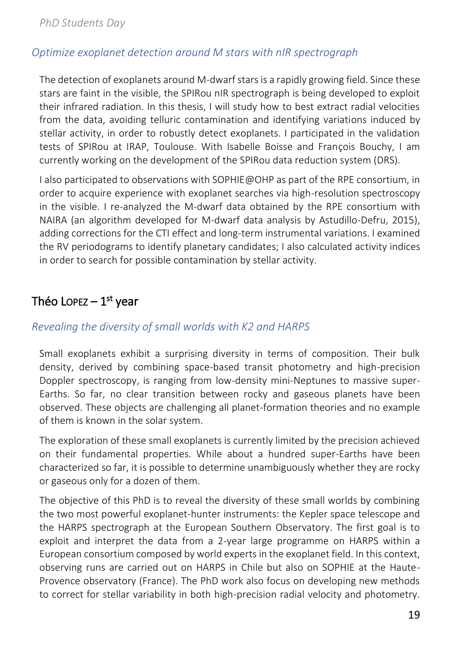### *Optimize exoplanet detection around M stars with nIR spectrograph*

The detection of exoplanets around M-dwarf stars is a rapidly growing field. Since these stars are faint in the visible, the SPIRou nIR spectrograph is being developed to exploit their infrared radiation. In this thesis, I will study how to best extract radial velocities from the data, avoiding telluric contamination and identifying variations induced by stellar activity, in order to robustly detect exoplanets. I participated in the validation tests of SPIRou at IRAP, Toulouse. With Isabelle Boisse and François Bouchy, I am currently working on the development of the SPIRou data reduction system (DRS).

I also participated to observations with SOPHIE@OHP as part of the RPE consortium, in order to acquire experience with exoplanet searches via high-resolution spectroscopy in the visible. I re-analyzed the M-dwarf data obtained by the RPE consortium with NAIRA (an algorithm developed for M-dwarf data analysis by Astudillo-Defru, 2015), adding corrections for the CTI effect and long-term instrumental variations. I examined the RV periodograms to identify planetary candidates; I also calculated activity indices in order to search for possible contamination by stellar activity.

### Théo Lopez – 1<sup>st</sup> year

### *Revealing the diversity of small worlds with K2 and HARPS*

Small exoplanets exhibit a surprising diversity in terms of composition. Their bulk density, derived by combining space-based transit photometry and high-precision Doppler spectroscopy, is ranging from low-density mini-Neptunes to massive super-Earths. So far, no clear transition between rocky and gaseous planets have been observed. These objects are challenging all planet-formation theories and no example of them is known in the solar system.

The exploration of these small exoplanets is currently limited by the precision achieved on their fundamental properties. While about a hundred super-Earths have been characterized so far, it is possible to determine unambiguously whether they are rocky or gaseous only for a dozen of them.

The objective of this PhD is to reveal the diversity of these small worlds by combining the two most powerful exoplanet-hunter instruments: the Kepler space telescope and the HARPS spectrograph at the European Southern Observatory. The first goal is to exploit and interpret the data from a 2-year large programme on HARPS within a European consortium composed by world experts in the exoplanet field. In this context, observing runs are carried out on HARPS in Chile but also on SOPHIE at the Haute-Provence observatory (France). The PhD work also focus on developing new methods to correct for stellar variability in both high-precision radial velocity and photometry.